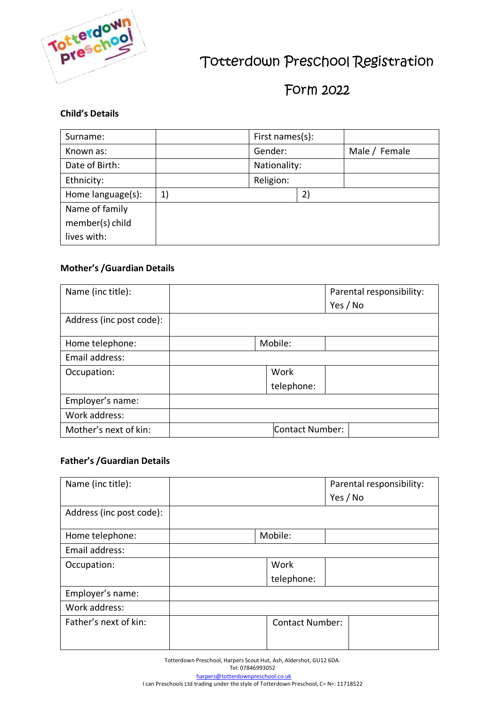

# Totterdown Preschool Registration

# Form 2022

# **Child's Details**

| Surname:          |    | First names(s): |    |               |
|-------------------|----|-----------------|----|---------------|
| Known as:         |    | Gender:         |    | Male / Female |
| Date of Birth:    |    | Nationality:    |    |               |
| Ethnicity:        |    | Religion:       |    |               |
| Home language(s): | 1) |                 | 2) |               |
| Name of family    |    |                 |    |               |
| member(s) child   |    |                 |    |               |
| lives with:       |    |                 |    |               |

# **Mother's /Guardian Details**

| Name (inc title):        |         | Parental responsibility: |
|--------------------------|---------|--------------------------|
|                          |         | Yes / No                 |
| Address (inc post code): |         |                          |
| Home telephone:          | Mobile: |                          |
| Email address:           |         |                          |
| Occupation:              |         | Work                     |
|                          |         | telephone:               |
| Employer's name:         |         |                          |
| Work address:            |         |                          |
| Mother's next of kin:    |         | Contact Number:          |

## **Father's /Guardian Details**

| Name (inc title):        |                        | Parental responsibility: |
|--------------------------|------------------------|--------------------------|
|                          |                        | Yes / No                 |
| Address (inc post code): |                        |                          |
| Home telephone:          | Mobile:                |                          |
| Email address:           |                        |                          |
| Occupation:              | Work                   |                          |
|                          | telephone:             |                          |
| Employer's name:         |                        |                          |
| Work address:            |                        |                          |
| Father's next of kin:    | <b>Contact Number:</b> |                          |
|                          |                        |                          |

Totterdown Preschool, Harpers Scout Hut, Ash, Aldershot, GU12 6DA. Tel: 07846993052 [harpers@totterdownpreschool.co.uk](mailto:harpers@totterdownpreschool.co.uk) I can Preschools Ltd trading under the style of Totterdown Preschool, C∘ N∘: 11718522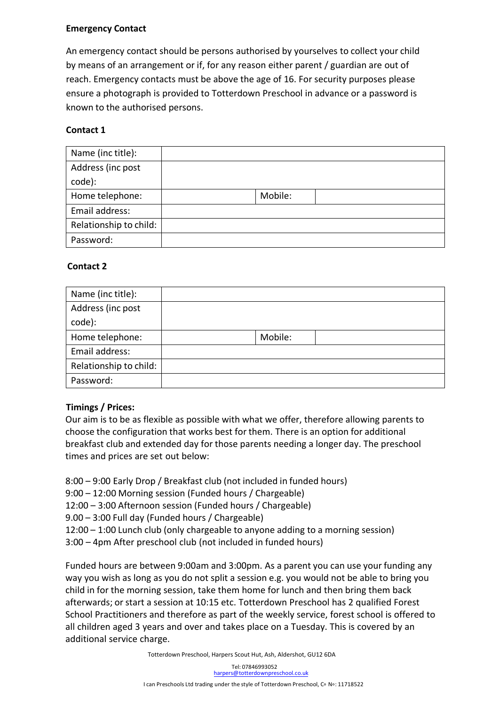# **Emergency Contact**

An emergency contact should be persons authorised by yourselves to collect your child by means of an arrangement or if, for any reason either parent / guardian are out of reach. Emergency contacts must be above the age of 16. For security purposes please ensure a photograph is provided to Totterdown Preschool in advance or a password is known to the authorised persons.

# **Contact 1**

| Name (inc title):      |         |  |
|------------------------|---------|--|
| Address (inc post      |         |  |
| code):                 |         |  |
| Home telephone:        | Mobile: |  |
| Email address:         |         |  |
| Relationship to child: |         |  |
| Password:              |         |  |

# **Contact 2**

| Name (inc title):      |         |
|------------------------|---------|
| Address (inc post      |         |
| code):                 |         |
| Home telephone:        | Mobile: |
| Email address:         |         |
| Relationship to child: |         |
| Password:              |         |

# **Timings / Prices:**

Our aim is to be as flexible as possible with what we offer, therefore allowing parents to choose the configuration that works best for them. There is an option for additional breakfast club and extended day for those parents needing a longer day. The preschool times and prices are set out below:

8:00 – 9:00 Early Drop / Breakfast club (not included in funded hours)

9:00 – 12:00 Morning session (Funded hours / Chargeable)

12:00 – 3:00 Afternoon session (Funded hours / Chargeable)

9.00 – 3:00 Full day (Funded hours / Chargeable)

12:00 – 1:00 Lunch club (only chargeable to anyone adding to a morning session)

3:00 – 4pm After preschool club (not included in funded hours)

Funded hours are between 9:00am and 3:00pm. As a parent you can use your funding any way you wish as long as you do not split a session e.g. you would not be able to bring you child in for the morning session, take them home for lunch and then bring them back afterwards; or start a session at 10:15 etc. Totterdown Preschool has 2 qualified Forest School Practitioners and therefore as part of the weekly service, forest school is offered to all children aged 3 years and over and takes place on a Tuesday. This is covered by an additional service charge.

Totterdown Preschool, [Harpers Scout Hut, Ash, Aldershot, G](mailto:harpers@totterdownpreschool.co.uk)U12 6DA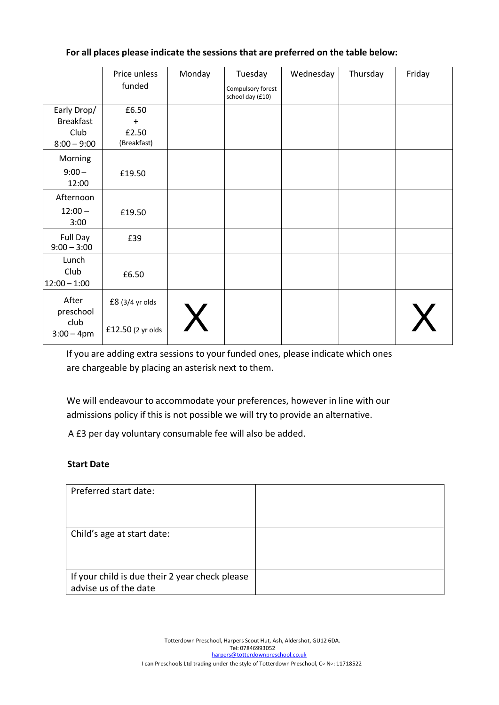|                                                          | Price unless                               | Monday | Tuesday                               | Wednesday | Thursday | Friday |
|----------------------------------------------------------|--------------------------------------------|--------|---------------------------------------|-----------|----------|--------|
|                                                          | funded                                     |        | Compulsory forest<br>school day (£10) |           |          |        |
| Early Drop/<br><b>Breakfast</b><br>Club<br>$8:00 - 9:00$ | £6.50<br>$\ddot{}$<br>£2.50<br>(Breakfast) |        |                                       |           |          |        |
| Morning<br>$9:00 -$<br>12:00                             | £19.50                                     |        |                                       |           |          |        |
| Afternoon<br>$12:00 -$<br>3:00                           | £19.50                                     |        |                                       |           |          |        |
| Full Day<br>$9:00 - 3:00$                                | £39                                        |        |                                       |           |          |        |
| Lunch<br>Club<br>$12:00 - 1:00$                          | £6.50                                      |        |                                       |           |          |        |
| After<br>preschool<br>club<br>$3:00 - 4pm$               | £8 (3/4 yr olds<br>£12.50 (2 yr olds       |        |                                       |           |          |        |

If you are adding extra sessions to your funded ones, please indicate which ones are chargeable by placing an asterisk next to them.

We will endeavour to accommodate your preferences, however in line with our admissions policy if this is not possible we will try to provide an alternative.

A £3 per day voluntary consumable fee will also be added.

# **Start Date**

| Preferred start date:                                                   |  |
|-------------------------------------------------------------------------|--|
| Child's age at start date:                                              |  |
| If your child is due their 2 year check please<br>advise us of the date |  |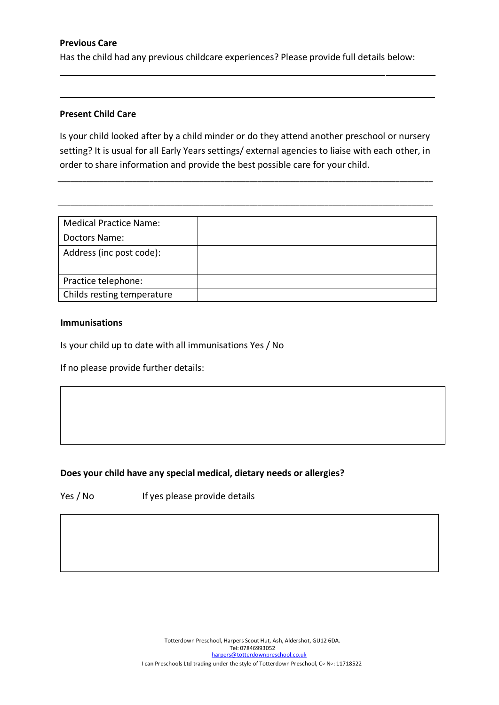# **Previous Care**

Has the child had any previous childcare experiences? Please provide full details below:

## **Present Child Care**

Is your child looked after by a child minder or do they attend another preschool or nursery setting? It is usual for all Early Years settings/ external agencies to liaise with each other, in order to share information and provide the best possible care for your child.

\_\_\_\_\_\_\_\_\_\_\_\_\_\_\_\_\_\_\_\_\_\_\_\_\_\_\_\_\_\_\_\_\_\_\_\_\_\_\_\_\_\_\_\_\_\_\_\_\_\_\_\_\_\_\_\_\_\_\_\_\_\_\_\_\_\_\_\_\_\_\_\_\_\_\_\_\_\_\_\_\_\_\_\_\_\_\_\_\_\_

\_\_\_\_\_\_\_\_\_\_\_\_\_\_\_\_\_\_\_\_\_\_\_\_\_\_\_\_\_\_\_\_\_\_\_\_\_\_\_\_\_\_\_\_\_\_\_\_\_\_\_\_\_\_\_\_\_\_\_\_\_\_\_\_\_\_\_\_\_\_\_\_\_\_\_\_\_\_\_\_\_\_\_\_\_\_\_\_\_\_

| <b>Medical Practice Name:</b> |  |
|-------------------------------|--|
| Doctors Name:                 |  |
| Address (inc post code):      |  |
| Practice telephone:           |  |
| Childs resting temperature    |  |

#### **Immunisations**

Is your child up to date with all immunisations Yes / No

If no please provide further details:

# **Does your child have any special medical, dietary needs or allergies?**

Yes / No If yes please provide details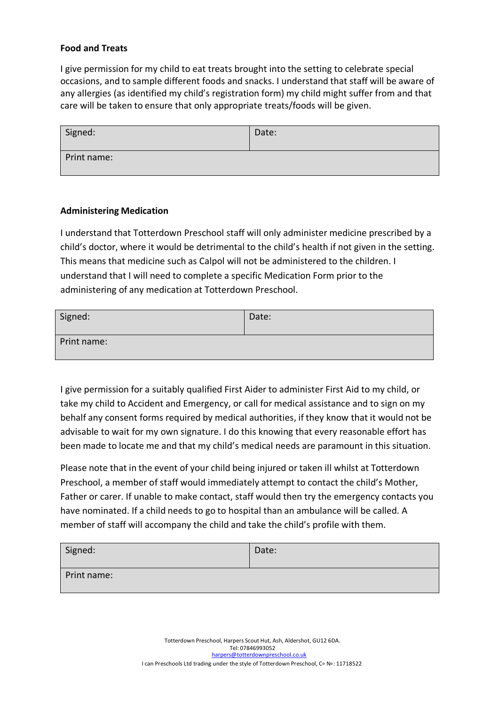### **Food and Treats**

I give permission for my child to eat treats brought into the setting to celebrate special occasions, and to sample different foods and snacks. I understand that staff will be aware of any allergies (as identified my child's registration form) my child might suffer from and that care will be taken to ensure that only appropriate treats/foods will be given.

| Signed:     | Date: |
|-------------|-------|
| Print name: |       |

#### **Administering Medication**

I understand that Totterdown Preschool staff will only administer medicine prescribed by a child's doctor, where it would be detrimental to the child's health if not given in the setting. This means that medicine such as Calpol will not be administered to the children. I understand that I will need to complete a specific Medication Form prior to the administering of any medication at Totterdown Preschool.

| Signed:     | Date: |
|-------------|-------|
| Print name: |       |

I give permission for a suitably qualified First Aider to administer First Aid to my child, or take my child to Accident and Emergency, or call for medical assistance and to sign on my behalf any consent forms required by medical authorities, if they know that it would not be advisable to wait for my own signature. I do this knowing that every reasonable effort has been made to locate me and that my child's medical needs are paramount in this situation.

Please note that in the event of your child being injured or taken ill whilst at Totterdown Preschool, a member of staff would immediately attempt to contact the child's Mother, Father or carer. If unable to make contact, staff would then try the emergency contacts you have nominated. If a child needs to go to hospital than an ambulance will be called. A member of staff will accompany the child and take the child's profile with them.

| Signed:     | Date: |
|-------------|-------|
| Print name: |       |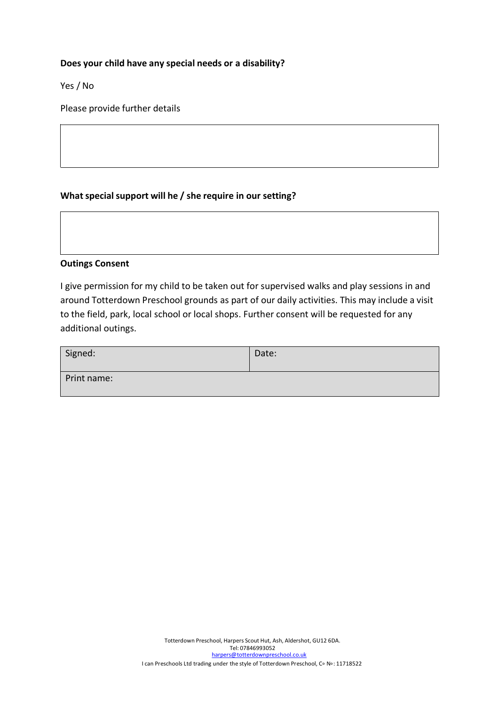### **Does your child have any special needs or a disability?**

Yes / No

Please provide further details

## **Whatspecialsupport will he / she require in our setting?**

#### **Outings Consent**

I give permission for my child to be taken out for supervised walks and play sessions in and around Totterdown Preschool grounds as part of our daily activities. This may include a visit to the field, park, local school or local shops. Further consent will be requested for any additional outings.

| Signed:     | Date: |
|-------------|-------|
| Print name: |       |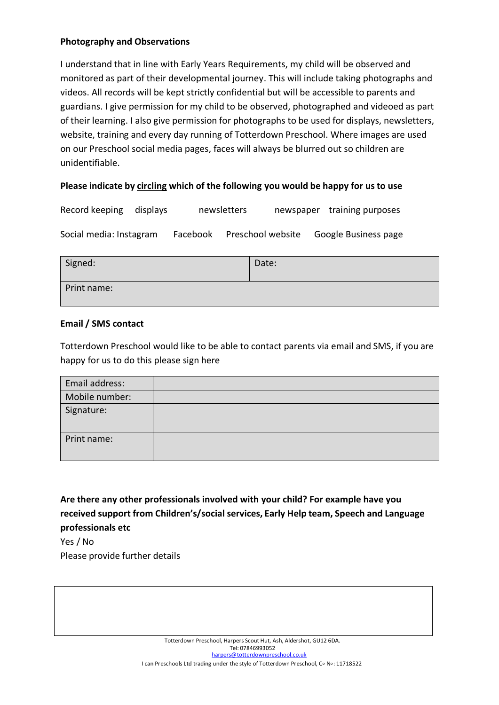# **Photography and Observations**

I understand that in line with Early Years Requirements, my child will be observed and monitored as part of their developmental journey. This will include taking photographs and videos. All records will be kept strictly confidential but will be accessible to parents and guardians. I give permission for my child to be observed, photographed and videoed as part of their learning. I also give permission for photographs to be used for displays, newsletters, website, training and every day running of Totterdown Preschool. Where images are used on our Preschool social media pages, faces will always be blurred out so children are unidentifiable.

# **Please indicate by circling which of the following you would be happy for us to use**

| Record keeping displays |          | newsletters       | newspaper training purposes |
|-------------------------|----------|-------------------|-----------------------------|
| Social media: Instagram | Facebook | Preschool website | Google Business page        |

| Signed:     | Date: |
|-------------|-------|
| Print name: |       |

# **Email / SMS contact**

Totterdown Preschool would like to be able to contact parents via email and SMS, if you are happy for us to do this please sign here

| Email address: |  |
|----------------|--|
| Mobile number: |  |
| Signature:     |  |
| Print name:    |  |

**Are there any other professionals involved with your child? For example have you received support from Children's/social services, Early Help team, Speech and Language professionals etc**

Yes / No Please provide further details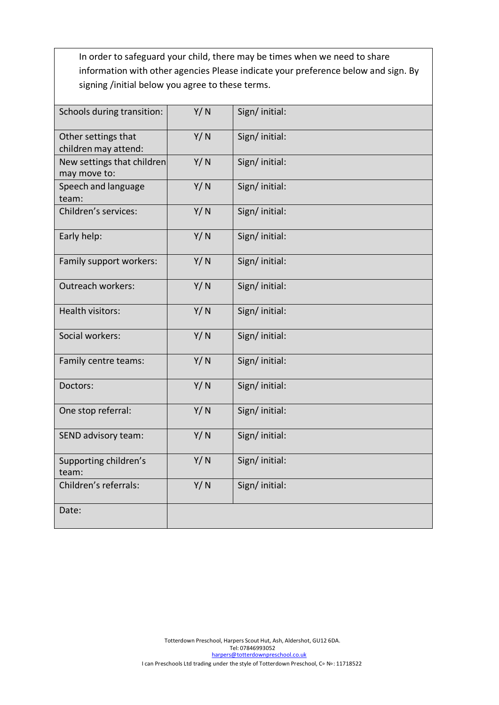In order to safeguard your child, there may be times when we need to share information with other agencies Please indicate your preference below and sign. By signing /initial below you agree to these terms.

| Schools during transition:                  | Y/N | Sign/initial:  |
|---------------------------------------------|-----|----------------|
| Other settings that<br>children may attend: | Y/N | Sign/initial:  |
| New settings that children<br>may move to:  | Y/N | Sign/initial:  |
| Speech and language<br>team:                | Y/N | Sign/ initial: |
| Children's services:                        | Y/N | Sign/ initial: |
| Early help:                                 | Y/N | Sign/initial:  |
| Family support workers:                     | Y/N | Sign/initial:  |
| Outreach workers:                           | Y/N | Sign/initial:  |
| Health visitors:                            | Y/N | Sign/ initial: |
| Social workers:                             | Y/N | Sign/ initial: |
| Family centre teams:                        | Y/N | Sign/initial:  |
| Doctors:                                    | Y/N | Sign/ initial: |
| One stop referral:                          | Y/N | Sign/initial:  |
| SEND advisory team:                         | Y/N | Sign/ initial: |
| Supporting children's<br>team:              | Y/N | Sign/initial:  |
| Children's referrals:                       | Y/N | Sign/initial:  |
| Date:                                       |     |                |